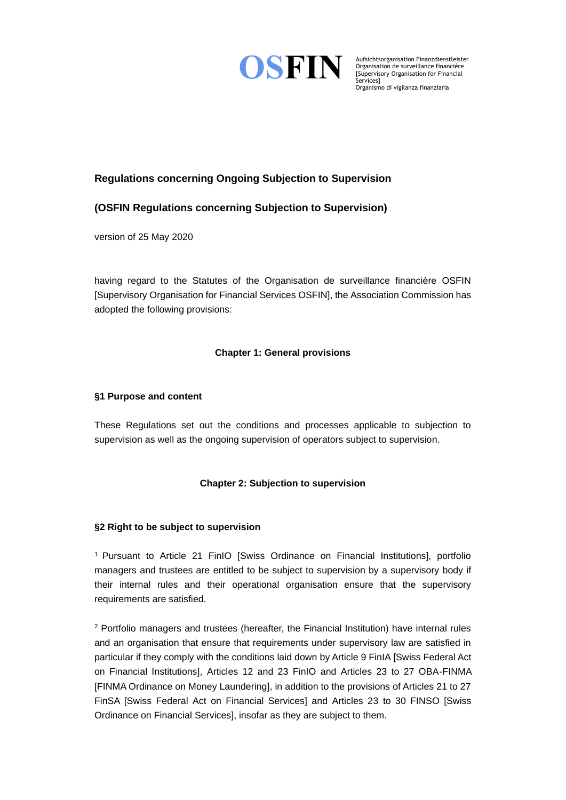

Aufsichtsorganisation Finanzdienstleister Organisation de surveillance financière [Supervisory Organisation for Financial Organismo di vigilanza finanziaria

# **Regulations concerning Ongoing Subjection to Supervision**

## **(OSFIN Regulations concerning Subjection to Supervision)**

version of 25 May 2020

having regard to the Statutes of the Organisation de surveillance financière OSFIN [Supervisory Organisation for Financial Services OSFIN], the Association Commission has adopted the following provisions:

## **Chapter 1: General provisions**

### **§1 Purpose and content**

These Regulations set out the conditions and processes applicable to subjection to supervision as well as the ongoing supervision of operators subject to supervision.

## **Chapter 2: Subjection to supervision**

#### **§2 Right to be subject to supervision**

<sup>1</sup> Pursuant to Article 21 FinIO [Swiss Ordinance on Financial Institutions], portfolio managers and trustees are entitled to be subject to supervision by a supervisory body if their internal rules and their operational organisation ensure that the supervisory requirements are satisfied.

<sup>2</sup> Portfolio managers and trustees (hereafter, the Financial Institution) have internal rules and an organisation that ensure that requirements under supervisory law are satisfied in particular if they comply with the conditions laid down by Article 9 FinIA [Swiss Federal Act on Financial Institutions], Articles 12 and 23 FinIO and Articles 23 to 27 OBA-FINMA [FINMA Ordinance on Money Laundering], in addition to the provisions of Articles 21 to 27 FinSA [Swiss Federal Act on Financial Services] and Articles 23 to 30 FINSO [Swiss Ordinance on Financial Services], insofar as they are subject to them.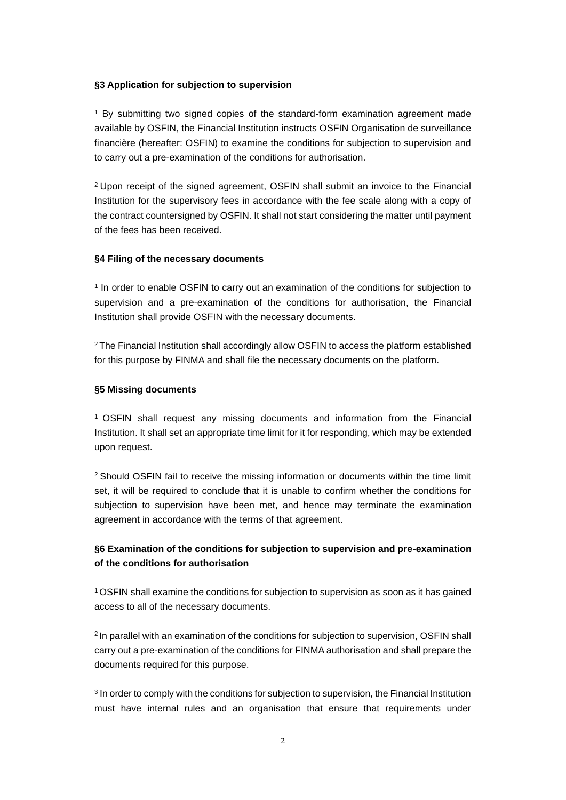#### **§3 Application for subjection to supervision**

<sup>1</sup> By submitting two signed copies of the standard-form examination agreement made available by OSFIN, the Financial Institution instructs OSFIN Organisation de surveillance financière (hereafter: OSFIN) to examine the conditions for subjection to supervision and to carry out a pre-examination of the conditions for authorisation.

<sup>2</sup>Upon receipt of the signed agreement, OSFIN shall submit an invoice to the Financial Institution for the supervisory fees in accordance with the fee scale along with a copy of the contract countersigned by OSFIN. It shall not start considering the matter until payment of the fees has been received.

#### **§4 Filing of the necessary documents**

1 In order to enable OSFIN to carry out an examination of the conditions for subjection to supervision and a pre-examination of the conditions for authorisation, the Financial Institution shall provide OSFIN with the necessary documents.

<sup>2</sup>The Financial Institution shall accordingly allow OSFIN to access the platform established for this purpose by FINMA and shall file the necessary documents on the platform.

#### **§5 Missing documents**

<sup>1</sup>OSFIN shall request any missing documents and information from the Financial Institution. It shall set an appropriate time limit for it for responding, which may be extended upon request.

<sup>2</sup> Should OSFIN fail to receive the missing information or documents within the time limit set, it will be required to conclude that it is unable to confirm whether the conditions for subjection to supervision have been met, and hence may terminate the examination agreement in accordance with the terms of that agreement.

## **§6 Examination of the conditions for subjection to supervision and pre-examination of the conditions for authorisation**

<sup>1</sup>OSFIN shall examine the conditions for subjection to supervision as soon as it has gained access to all of the necessary documents.

<sup>2</sup> In parallel with an examination of the conditions for subjection to supervision, OSFIN shall carry out a pre-examination of the conditions for FINMA authorisation and shall prepare the documents required for this purpose.

<sup>3</sup> In order to comply with the conditions for subjection to supervision, the Financial Institution must have internal rules and an organisation that ensure that requirements under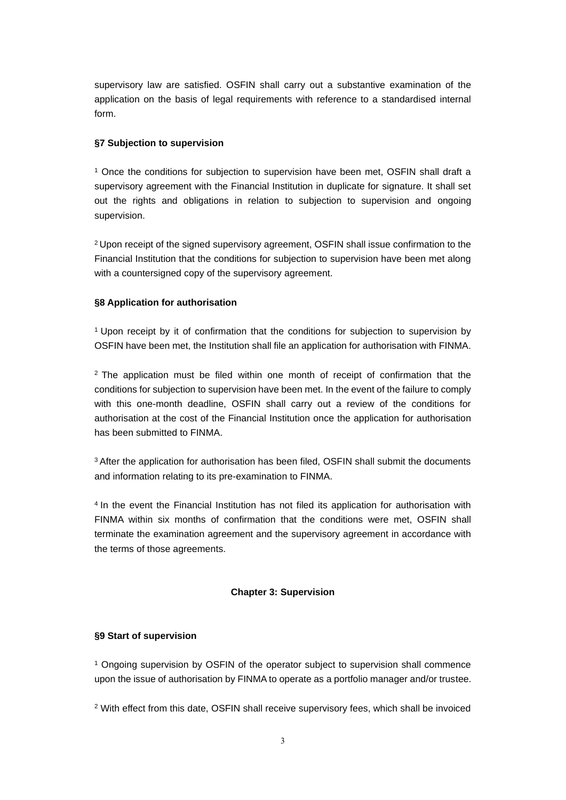supervisory law are satisfied. OSFIN shall carry out a substantive examination of the application on the basis of legal requirements with reference to a standardised internal form.

#### **§7 Subjection to supervision**

<sup>1</sup> Once the conditions for subjection to supervision have been met, OSFIN shall draft a supervisory agreement with the Financial Institution in duplicate for signature. It shall set out the rights and obligations in relation to subjection to supervision and ongoing supervision.

<sup>2</sup>Upon receipt of the signed supervisory agreement, OSFIN shall issue confirmation to the Financial Institution that the conditions for subjection to supervision have been met along with a countersigned copy of the supervisory agreement.

#### **§8 Application for authorisation**

<sup>1</sup>Upon receipt by it of confirmation that the conditions for subjection to supervision by OSFIN have been met, the Institution shall file an application for authorisation with FINMA.

 $2$  The application must be filed within one month of receipt of confirmation that the conditions for subjection to supervision have been met. In the event of the failure to comply with this one-month deadline, OSFIN shall carry out a review of the conditions for authorisation at the cost of the Financial Institution once the application for authorisation has been submitted to FINMA.

<sup>3</sup> After the application for authorisation has been filed, OSFIN shall submit the documents and information relating to its pre-examination to FINMA.

<sup>4</sup> In the event the Financial Institution has not filed its application for authorisation with FINMA within six months of confirmation that the conditions were met, OSFIN shall terminate the examination agreement and the supervisory agreement in accordance with the terms of those agreements.

#### **Chapter 3: Supervision**

#### **§9 Start of supervision**

<sup>1</sup> Ongoing supervision by OSFIN of the operator subject to supervision shall commence upon the issue of authorisation by FINMA to operate as a portfolio manager and/or trustee.

<sup>2</sup> With effect from this date, OSFIN shall receive supervisory fees, which shall be invoiced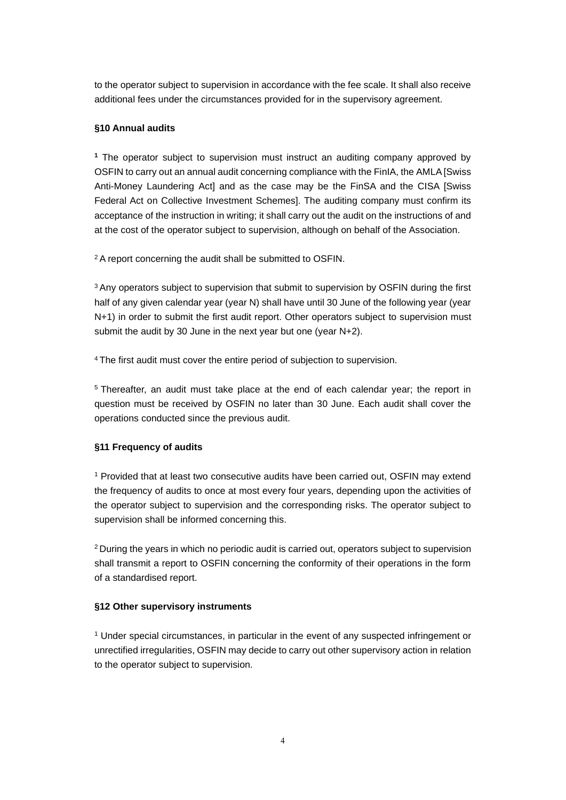to the operator subject to supervision in accordance with the fee scale. It shall also receive additional fees under the circumstances provided for in the supervisory agreement.

### **§10 Annual audits**

**<sup>1</sup>** The operator subject to supervision must instruct an auditing company approved by OSFIN to carry out an annual audit concerning compliance with the FinIA, the AMLA [Swiss Anti-Money Laundering Act] and as the case may be the FinSA and the CISA [Swiss Federal Act on Collective Investment Schemes]. The auditing company must confirm its acceptance of the instruction in writing; it shall carry out the audit on the instructions of and at the cost of the operator subject to supervision, although on behalf of the Association.

<sup>2</sup>A report concerning the audit shall be submitted to OSFIN.

<sup>3</sup> Any operators subject to supervision that submit to supervision by OSFIN during the first half of any given calendar year (year N) shall have until 30 June of the following year (year N+1) in order to submit the first audit report. Other operators subject to supervision must submit the audit by 30 June in the next year but one (year N+2).

<sup>4</sup>The first audit must cover the entire period of subjection to supervision.

<sup>5</sup>Thereafter, an audit must take place at the end of each calendar year; the report in question must be received by OSFIN no later than 30 June. Each audit shall cover the operations conducted since the previous audit.

#### **§11 Frequency of audits**

<sup>1</sup> Provided that at least two consecutive audits have been carried out, OSFIN may extend the frequency of audits to once at most every four years, depending upon the activities of the operator subject to supervision and the corresponding risks. The operator subject to supervision shall be informed concerning this.

<sup>2</sup> During the years in which no periodic audit is carried out, operators subject to supervision shall transmit a report to OSFIN concerning the conformity of their operations in the form of a standardised report.

#### **§12 Other supervisory instruments**

<sup>1</sup> Under special circumstances, in particular in the event of any suspected infringement or unrectified irregularities, OSFIN may decide to carry out other supervisory action in relation to the operator subject to supervision.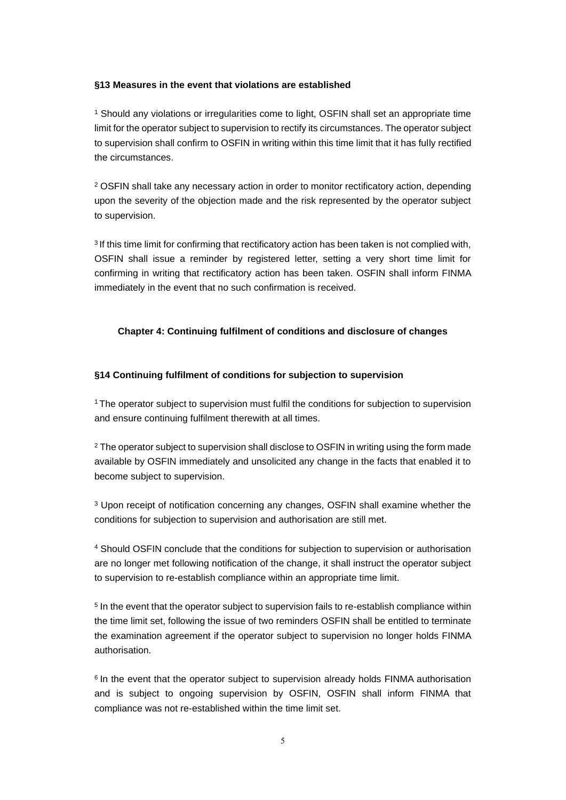#### **§13 Measures in the event that violations are established**

<sup>1</sup> Should any violations or irregularities come to light, OSFIN shall set an appropriate time limit for the operator subject to supervision to rectify its circumstances. The operator subject to supervision shall confirm to OSFIN in writing within this time limit that it has fully rectified the circumstances.

<sup>2</sup> OSFIN shall take any necessary action in order to monitor rectificatory action, depending upon the severity of the objection made and the risk represented by the operator subject to supervision.

<sup>3</sup> If this time limit for confirming that rectificatory action has been taken is not complied with, OSFIN shall issue a reminder by registered letter, setting a very short time limit for confirming in writing that rectificatory action has been taken. OSFIN shall inform FINMA immediately in the event that no such confirmation is received.

#### **Chapter 4: Continuing fulfilment of conditions and disclosure of changes**

#### **§14 Continuing fulfilment of conditions for subjection to supervision**

<sup>1</sup> The operator subject to supervision must fulfil the conditions for subjection to supervision and ensure continuing fulfilment therewith at all times.

<sup>2</sup> The operator subject to supervision shall disclose to OSFIN in writing using the form made available by OSFIN immediately and unsolicited any change in the facts that enabled it to become subject to supervision.

<sup>3</sup> Upon receipt of notification concerning any changes, OSFIN shall examine whether the conditions for subjection to supervision and authorisation are still met.

<sup>4</sup> Should OSFIN conclude that the conditions for subjection to supervision or authorisation are no longer met following notification of the change, it shall instruct the operator subject to supervision to re-establish compliance within an appropriate time limit.

<sup>5</sup> In the event that the operator subject to supervision fails to re-establish compliance within the time limit set, following the issue of two reminders OSFIN shall be entitled to terminate the examination agreement if the operator subject to supervision no longer holds FINMA authorisation.

 $6$  In the event that the operator subject to supervision already holds FINMA authorisation and is subject to ongoing supervision by OSFIN, OSFIN shall inform FINMA that compliance was not re-established within the time limit set.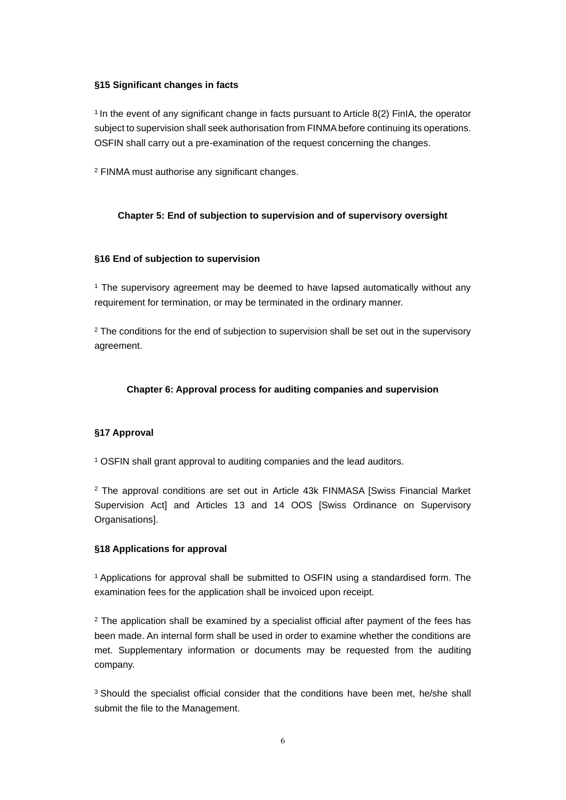#### **§15 Significant changes in facts**

 $1$  In the event of any significant change in facts pursuant to Article 8(2) FinIA, the operator subject to supervision shall seek authorisation from FINMA before continuing its operations. OSFIN shall carry out a pre-examination of the request concerning the changes.

<sup>2</sup> FINMA must authorise any significant changes.

#### **Chapter 5: End of subjection to supervision and of supervisory oversight**

#### **§16 End of subjection to supervision**

<sup>1</sup> The supervisory agreement may be deemed to have lapsed automatically without any requirement for termination, or may be terminated in the ordinary manner.

 $2$  The conditions for the end of subjection to supervision shall be set out in the supervisory agreement.

### **Chapter 6: Approval process for auditing companies and supervision**

### **§17 Approval**

<sup>1</sup> OSFIN shall grant approval to auditing companies and the lead auditors.

<sup>2</sup> The approval conditions are set out in Article 43k FINMASA [Swiss Financial Market] Supervision Act] and Articles 13 and 14 OOS [Swiss Ordinance on Supervisory Organisationsl.

#### **§18 Applications for approval**

<sup>1</sup>Applications for approval shall be submitted to OSFIN using a standardised form. The examination fees for the application shall be invoiced upon receipt.

 $2$  The application shall be examined by a specialist official after payment of the fees has been made. An internal form shall be used in order to examine whether the conditions are met. Supplementary information or documents may be requested from the auditing company.

<sup>3</sup> Should the specialist official consider that the conditions have been met, he/she shall submit the file to the Management.